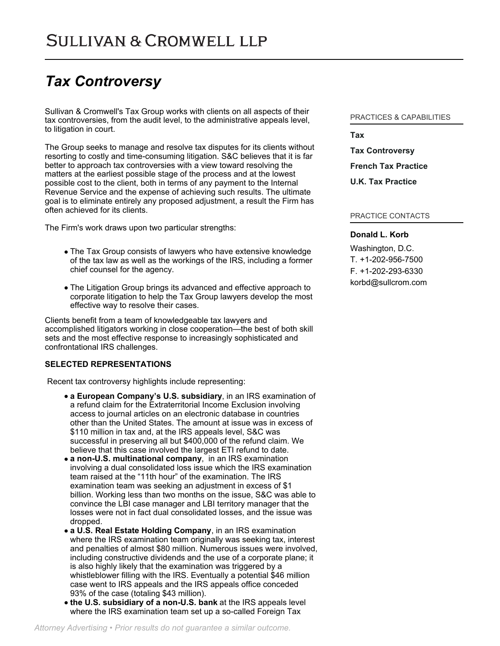# *Tax Controversy*

Sullivan & Cromwell's Tax Group works with clients on all aspects of their tax controversies, from the audit level, to the administrative appeals level, to litigation in court.

The Group seeks to manage and resolve tax disputes for its clients without resorting to costly and time-consuming litigation. S&C believes that it is far better to approach tax controversies with a view toward resolving the matters at the earliest possible stage of the process and at the lowest possible cost to the client, both in terms of any payment to the Internal Revenue Service and the expense of achieving such results. The ultimate goal is to eliminate entirely any proposed adjustment, a result the Firm has often achieved for its clients.

The Firm's work draws upon two particular strengths:

- The Tax Group consists of lawyers who have extensive knowledge of the tax law as well as the workings of the IRS, including a former chief counsel for the agency.
- The Litigation Group brings its advanced and effective approach to corporate litigation to help the Tax Group lawyers develop the most effective way to resolve their cases.

Clients benefit from a team of knowledgeable tax lawyers and accomplished litigators working in close cooperation—the best of both skill sets and the most effective response to increasingly sophisticated and confrontational IRS challenges.

## **SELECTED REPRESENTATIONS**

Recent tax controversy highlights include representing:

- **a European Company's U.S. subsidiary**, in an IRS examination of a refund claim for the Extraterritorial Income Exclusion involving access to journal articles on an electronic database in countries other than the United States. The amount at issue was in excess of \$110 million in tax and, at the IRS appeals level, S&C was successful in preserving all but \$400,000 of the refund claim. We believe that this case involved the largest ETI refund to date.
- **a non-U.S. multinational company**, in an IRS examination involving a dual consolidated loss issue which the IRS examination team raised at the "11th hour" of the examination. The IRS examination team was seeking an adjustment in excess of \$1 billion. Working less than two months on the issue, S&C was able to convince the LBI case manager and LBI territory manager that the losses were not in fact dual consolidated losses, and the issue was dropped.
- **a U.S. Real Estate Holding Company**, in an IRS examination where the IRS examination team originally was seeking tax, interest and penalties of almost \$80 million. Numerous issues were involved, including constructive dividends and the use of a corporate plane; it is also highly likely that the examination was triggered by a whistleblower filling with the IRS. Eventually a potential \$46 million case went to IRS appeals and the IRS appeals office conceded 93% of the case (totaling \$43 million).
- **the U.S. subsidiary of a non-U.S. bank** at the IRS appeals level where the IRS examination team set up a so-called Foreign Tax

# PRACTICES & CAPABILITIES

**[Tax](https://www.sullcrom.com/Tax-Practices) [Tax Controversy](https://www.sullcrom.com/Tax-Controversy-Practices) [French Tax Practice](https://www.sullcrom.com/French-Tax-Practice-Practices) [U.K. Tax Practice](https://www.sullcrom.com/UK-Tax-Practice-Practices)**

#### PRACTICE CONTACTS

## **[Donald L. Korb](https://www.sullcrom.com/lawyers/DonaldL-Korb)**

Washington, D.C. T. [+1-202-956-7500](tel:+1-202-956-7500) F. [+1-202-293-6330](tel:+1-202-293-6330) [korbd@sullcrom.com](https://www.sullcrom.com/email-disclaimer?profsid=lawyers/DonaldL-Korb)